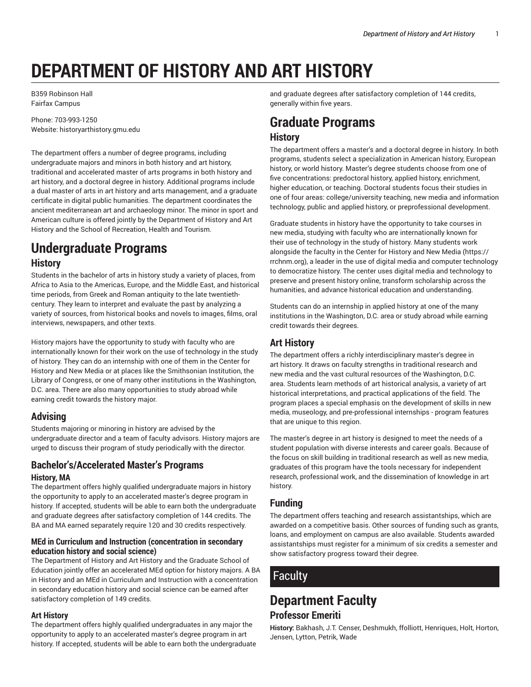# **DEPARTMENT OF HISTORY AND ART HISTORY**

B359 Robinson Hall Fairfax Campus

Phone: 703-993-1250 Website: historyarthistory.gmu.edu

The department offers a number of degree programs, including undergraduate majors and minors in both history and art history, traditional and accelerated master of arts programs in both history and art history, and a doctoral degree in history. Additional programs include a dual master of arts in art history and arts management, and a graduate certificate in digital public humanities. The department coordinates the ancient mediterranean art and archaeology minor. The minor in sport and American culture is offered jointly by the Department of History and Art History and the School of Recreation, Health and Tourism.

## **Undergraduate Programs History**

Students in the bachelor of arts in history study a variety of places, from Africa to Asia to the Americas, Europe, and the Middle East, and historical time periods, from Greek and Roman antiquity to the late twentiethcentury. They learn to interpret and evaluate the past by analyzing a variety of sources, from historical books and novels to images, films, oral interviews, newspapers, and other texts.

History majors have the opportunity to study with faculty who are internationally known for their work on the use of technology in the study of history. They can do an internship with one of them in the Center for History and New Media or at places like the Smithsonian Institution, the Library of Congress, or one of many other institutions in the Washington, D.C. area. There are also many opportunities to study abroad while earning credit towards the history major.

### **Advising**

Students majoring or minoring in history are advised by the undergraduate director and a team of faculty advisors. History majors are urged to discuss their program of study periodically with the director.

### **Bachelor's/Accelerated Master's Programs History, MA**

The department offers highly qualified undergraduate majors in history the opportunity to apply to an accelerated master's degree program in history. If accepted, students will be able to earn both the undergraduate and graduate degrees after satisfactory completion of 144 credits. The BA and MA earned separately require 120 and 30 credits respectively.

#### **MEd in Curriculum and Instruction (concentration in secondary education history and social science)**

The Department of History and Art History and the Graduate School of Education jointly offer an accelerated MEd option for history majors. A BA in History and an MEd in Curriculum and Instruction with a concentration in secondary education history and social science can be earned after satisfactory completion of 149 credits.

#### **Art History**

The department offers highly qualified undergraduates in any major the opportunity to apply to an accelerated master's degree program in art history. If accepted, students will be able to earn both the undergraduate and graduate degrees after satisfactory completion of 144 credits, generally within five years.

# **Graduate Programs**

### **History**

The department offers a master's and a doctoral degree in history. In both programs, students select a specialization in American history, European history, or world history. Master's degree students choose from one of five concentrations: predoctoral history, applied history, enrichment, higher education, or teaching. Doctoral students focus their studies in one of four areas: college/university teaching, new media and information technology, public and applied history, or preprofessional development.

Graduate students in history have the opportunity to take courses in new media, studying with faculty who are internationally known for their use of technology in the study of history. Many students work alongside the faculty in the Center for History and New Media (https:// rrchnm.org), a leader in the use of digital media and computer technology to democratize history. The center uses digital media and technology to preserve and present history online, transform scholarship across the humanities, and advance historical education and understanding.

Students can do an internship in applied history at one of the many institutions in the Washington, D.C. area or study abroad while earning credit towards their degrees.

### **Art History**

The department offers a richly interdisciplinary master's degree in art history. It draws on faculty strengths in traditional research and new media and the vast cultural resources of the Washington, D.C. area. Students learn methods of art historical analysis, a variety of art historical interpretations, and practical applications of the field. The program places a special emphasis on the development of skills in new media, museology, and pre-professional internships - program features that are unique to this region.

The master's degree in art history is designed to meet the needs of a student population with diverse interests and career goals. Because of the focus on skill building in traditional research as well as new media, graduates of this program have the tools necessary for independent research, professional work, and the dissemination of knowledge in art history.

### **Funding**

The department offers teaching and research assistantships, which are awarded on a competitive basis. Other sources of funding such as grants, loans, and employment on campus are also available. Students awarded assistantships must register for a minimum of six credits a semester and show satisfactory progress toward their degree.

# Faculty

### **Department Faculty Professor Emeriti**

**History:** Bakhash, J.T. Censer, Deshmukh, ffolliott, Henriques, Holt, Horton, Jensen, Lytton, Petrik, Wade